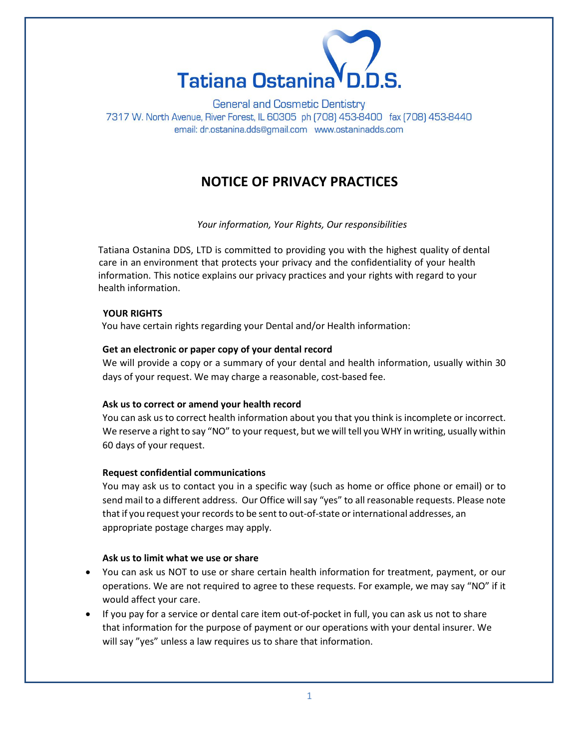

**General and Cosmetic Dentistry** 7317 W. North Avenue, River Forest, IL 60305 ph (708) 453-8400 fax (708) 453-8440 email: dr.ostanina.dds@gmail.com www.ostaninadds.com

# **NOTICE OF PRIVACY PRACTICES**

*Your information, Your Rights, Our responsibilities*

Tatiana Ostanina DDS, LTD is committed to providing you with the highest quality of dental care in an environment that protects your privacy and the confidentiality of your health information. This notice explains our privacy practices and your rights with regard to your health information.

#### **YOUR RIGHTS**

You have certain rights regarding your Dental and/or Health information:

#### **Get an electronic or paper copy of your dental record**

We will provide a copy or a summary of your dental and health information, usually within 30 days of your request. We may charge a reasonable, cost-based fee.

#### **Ask us to correct or amend your health record**

You can ask us to correct health information about you that you think is incomplete or incorrect. We reserve a right to say "NO" to your request, but we will tell you WHY in writing, usually within 60 days of your request.

# **Request confidential communications**

You may ask us to contact you in a specific way (such as home or office phone or email) or to send mail to a different address. Our Office will say "yes" to all reasonable requests. Please note that if you request your records to be sent to out-of-state orinternational addresses, an appropriate postage charges may apply.

#### **Ask us to limit what we use or share**

- You can ask us NOT to use or share certain health information for treatment, payment, or our operations. We are not required to agree to these requests. For example, we may say "NO" if it would affect your care.
- If you pay for a service or dental care item out-of-pocket in full, you can ask us not to share that information for the purpose of payment or our operations with your dental insurer. We will say "yes" unless a law requires us to share that information.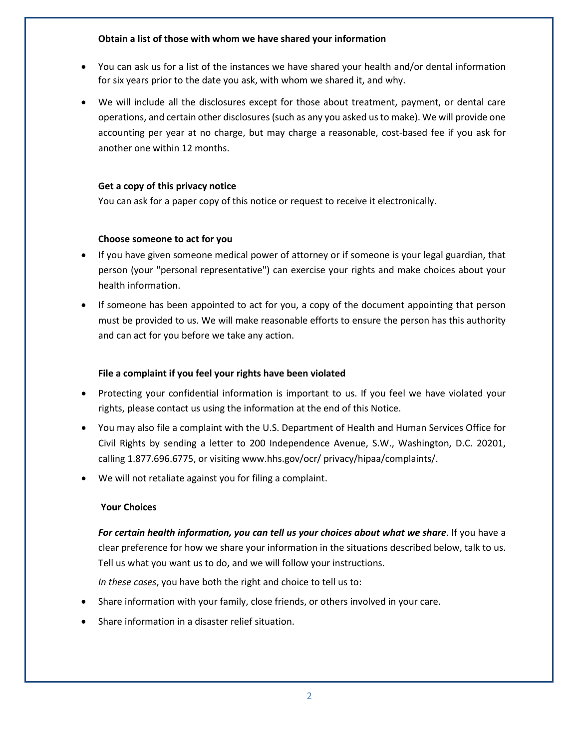#### **Obtain a list of those with whom we have shared your information**

- You can ask us for a list of the instances we have shared your health and/or dental information for six years prior to the date you ask, with whom we shared it, and why.
- We will include all the disclosures except for those about treatment, payment, or dental care operations, and certain other disclosures (such as any you asked us to make). We will provide one accounting per year at no charge, but may charge a reasonable, cost-based fee if you ask for another one within 12 months.

# **Get a copy of this privacy notice**

You can ask for a paper copy of this notice or request to receive it electronically.

## **Choose someone to act for you**

- If you have given someone medical power of attorney or if someone is your legal guardian, that person (your "personal representative") can exercise your rights and make choices about your health information.
- If someone has been appointed to act for you, a copy of the document appointing that person must be provided to us. We will make reasonable efforts to ensure the person has this authority and can act for you before we take any action.

# **File a complaint if you feel your rights have been violated**

- Protecting your confidential information is important to us. If you feel we have violated your rights, please contact us using the information at the end of this Notice.
- You may also file a complaint with the U.S. Department of Health and Human Services Office for Civil Rights by sending a letter to 200 Independence Avenue, S.W., Washington, D.C. 20201, calling 1.877.696.6775, or visiting [www.hhs.gov/ocr/](http://www.hhs.gov/ocr/) privacy/hipaa/complaints/.
- We will not retaliate against you for filing a complaint.

## **Your Choices**

*For certain health information, you can tell us your choices about what we share*. If you have a clear preference for how we share your information in the situations described below, talk to us. Tell us what you want us to do, and we will follow your instructions.

*In these cases*, you have both the right and choice to tell us to:

- Share information with your family, close friends, or others involved in your care.
- Share information in a disaster relief situation.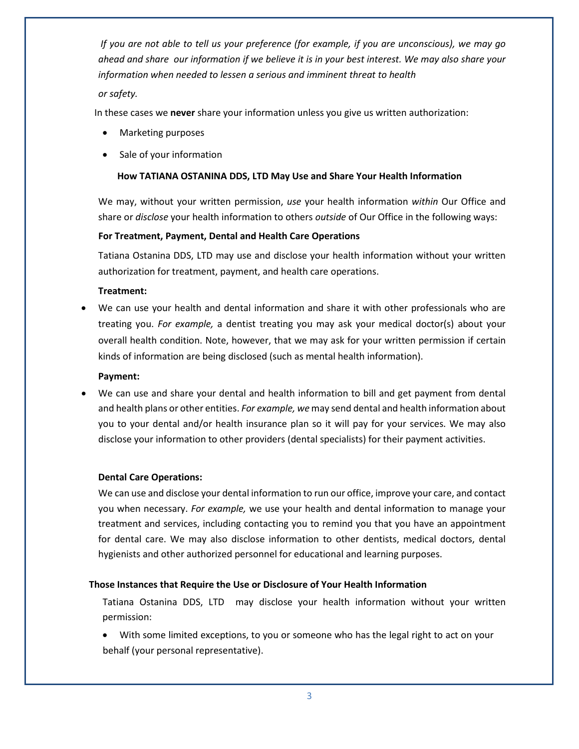*If you are not able to tell us your preference (for example, if you are unconscious), we may go ahead and share our information if we believe it is in your best interest. We may also share your information when needed to lessen a serious and imminent threat to health*

#### *or safety.*

In these cases we **never** share your information unless you give us written authorization:

- Marketing purposes
- Sale of your information

#### **How TATIANA OSTANINA DDS, LTD May Use and Share Your Health Information**

We may, without your written permission, *use* your health information *within* Our Office and share or *disclose* your health information to others *outside* of Our Office in the following ways:

#### **For Treatment, Payment, Dental and Health Care Operations**

Tatiana Ostanina DDS, LTD may use and disclose your health information without your written authorization for treatment, payment, and health care operations.

#### **Treatment:**

• We can use your health and dental information and share it with other professionals who are treating you. *For example,* a dentist treating you may ask your medical doctor(s) about your overall health condition. Note, however, that we may ask for your written permission if certain kinds of information are being disclosed (such as mental health information).

#### **Payment:**

We can use and share your dental and health information to bill and get payment from dental and health plans or other entities. *For example, we* may send dental and health information about you to your dental and/or health insurance plan so it will pay for your services. We may also disclose your information to other providers (dental specialists) for their payment activities.

## **Dental Care Operations:**

We can use and disclose your dental information to run our office, improve your care, and contact you when necessary. *For example,* we use your health and dental information to manage your treatment and services, including contacting you to remind you that you have an appointment for dental care. We may also disclose information to other dentists, medical doctors, dental hygienists and other authorized personnel for educational and learning purposes.

#### **Those Instances that Require the Use or Disclosure of Your Health Information**

Tatiana Ostanina DDS, LTD may disclose your health information without your written permission:

• With some limited exceptions, to you or someone who has the legal right to act on your behalf (your personal representative).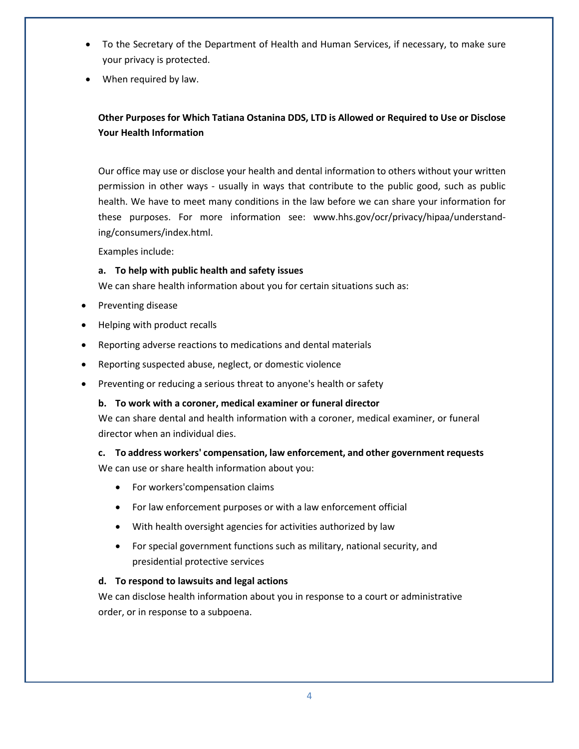- To the Secretary of the Department of Health and Human Services, if necessary, to make sure your privacy is protected.
- When required by law.

# **Other Purposes for Which Tatiana Ostanina DDS, LTD is Allowed or Required to Use or Disclose Your Health Information**

Our office may use or disclose your health and dental information to others without your written permission in other ways - usually in ways that contribute to the public good, such as public health. We have to meet many conditions in the law before we can share your information for these purposes. For more information see: [www.hhs.gov/ocr/privacy/hipaa/understand](http://www.hhs.gov/ocr/privacy/hipaa/understand-ing/consumers/index.html)[ing/consumers/index.html.](http://www.hhs.gov/ocr/privacy/hipaa/understand-ing/consumers/index.html)

Examples include:

## **a. To help with public health and safety issues**

We can share health information about you for certain situations such as:

- Preventing disease
- Helping with product recalls
- Reporting adverse reactions to medications and dental materials
- Reporting suspected abuse, neglect, or domestic violence
- Preventing or reducing a serious threat to anyone's health or safety

# **b. To work with a coroner, medical examiner or funeral director**

We can share dental and health information with a coroner, medical examiner, or funeral director when an individual dies.

# **c. To address workers' compensation, law enforcement, and other government requests**

We can use or share health information about you:

- For workers'compensation claims
- For law enforcement purposes or with a law enforcement official
- With health oversight agencies for activities authorized by law
- For special government functions such as military, national security, and presidential protective services

## **d. To respond to lawsuits and legal actions**

We can disclose health information about you in response to a court or administrative order, or in response to a subpoena.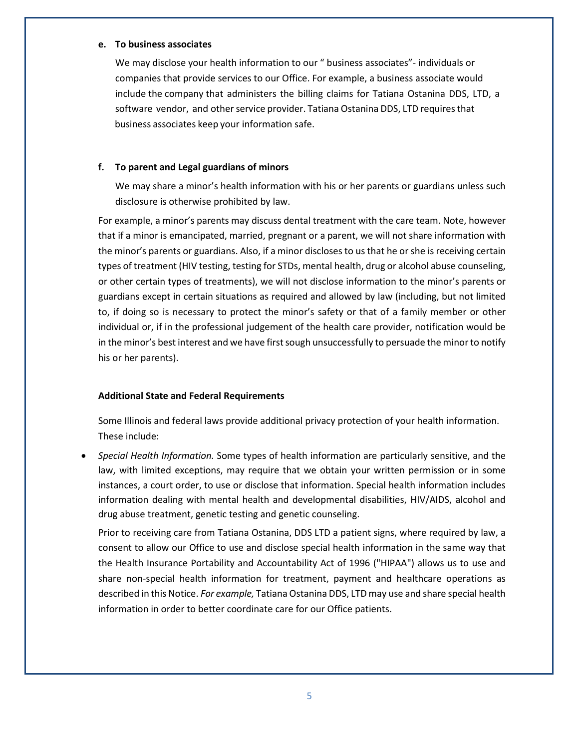#### **e. To business associates**

We may disclose your health information to our " business associates"- individuals or companies that provide services to our Office. For example, a business associate would include the company that administers the billing claims for Tatiana Ostanina DDS, LTD, a software vendor, and other service provider. Tatiana Ostanina DDS, LTD requires that business associates keep your information safe.

#### **f. To parent and Legal guardians of minors**

We may share a minor's health information with his or her parents or guardians unless such disclosure is otherwise prohibited by law.

For example, a minor's parents may discuss dental treatment with the care team. Note, however that if a minor is emancipated, married, pregnant or a parent, we will not share information with the minor's parents or guardians. Also, if a minor discloses to us that he or she is receiving certain types of treatment (HIV testing, testing for STDs, mental health, drug or alcohol abuse counseling, or other certain types of treatments), we will not disclose information to the minor's parents or guardians except in certain situations as required and allowed by law (including, but not limited to, if doing so is necessary to protect the minor's safety or that of a family member or other individual or, if in the professional judgement of the health care provider, notification would be in the minor's best interest and we have first sough unsuccessfully to persuade the minor to notify his or her parents).

#### **Additional State and Federal Requirements**

Some Illinois and federal laws provide additional privacy protection of your health information. These include:

• *Special Health Information.* Some types of health information are particularly sensitive, and the law, with limited exceptions, may require that we obtain your written permission or in some instances, a court order, to use or disclose that information. Special health information includes information dealing with mental health and developmental disabilities, HIV/AIDS, alcohol and drug abuse treatment, genetic testing and genetic counseling.

Prior to receiving care from Tatiana Ostanina, DDS LTD a patient signs, where required by law, a consent to allow our Office to use and disclose special health information in the same way that the Health Insurance Portability and Accountability Act of 1996 ("HIPAA") allows us to use and share non-special health information for treatment, payment and healthcare operations as described in this Notice. *For example,* Tatiana Ostanina DDS, LTD may use and share special health information in order to better coordinate care for our Office patients.